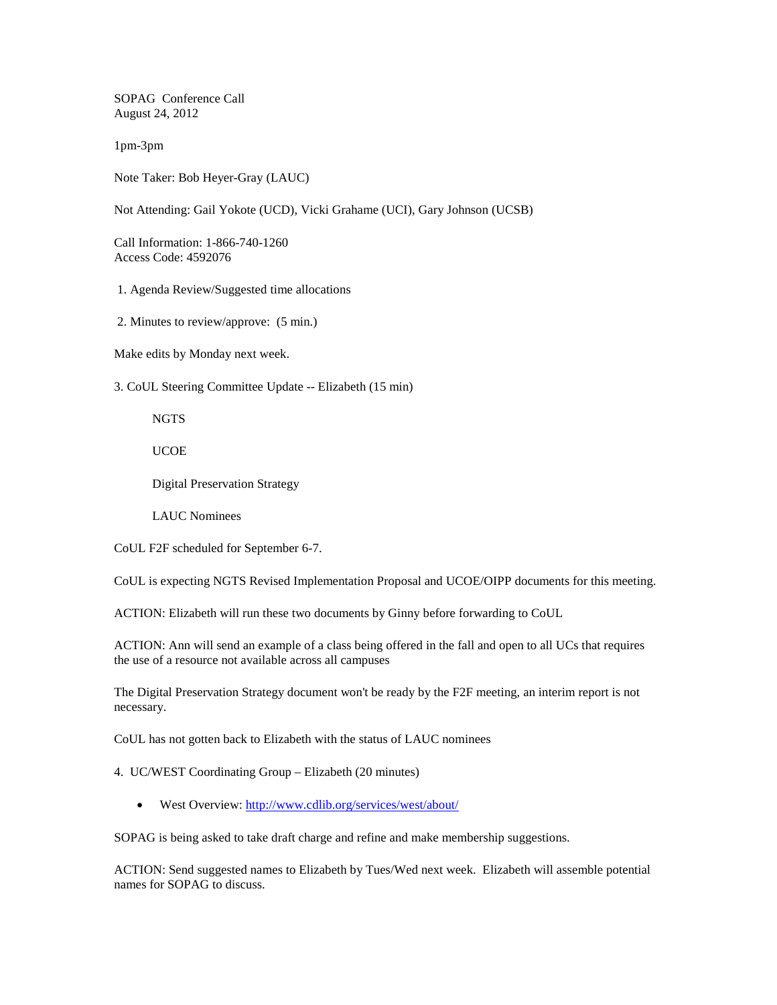SOPAG Conference Call August 24, 2012

1pm-3pm

Note Taker: Bob Heyer-Gray (LAUC)

Not Attending: Gail Yokote (UCD), Vicki Grahame (UCI), Gary Johnson (UCSB)

Call Information: 1-866-740-1260 Access Code: 4592076

1. Agenda Review/Suggested time allocations

2. Minutes to review/approve: (5 min.)

Make edits by Monday next week.

3. CoUL Steering Committee Update -- Elizabeth (15 min)

NGTS

UCOE

Digital Preservation Strategy

LAUC Nominees

CoUL F2F scheduled for September 6-7.

CoUL is expecting NGTS Revised Implementation Proposal and UCOE/OIPP documents for this meeting.

ACTION: Elizabeth will run these two documents by Ginny before forwarding to CoUL

ACTION: Ann will send an example of a class being offered in the fall and open to all UCs that requires the use of a resource not available across all campuses

The Digital Preservation Strategy document won't be ready by the F2F meeting, an interim report is not necessary.

CoUL has not gotten back to Elizabeth with the status of LAUC nominees

4. UC/WEST Coordinating Group – Elizabeth (20 minutes)

• West Overview:<http://www.cdlib.org/services/west/about/>

SOPAG is being asked to take draft charge and refine and make membership suggestions.

ACTION: Send suggested names to Elizabeth by Tues/Wed next week. Elizabeth will assemble potential names for SOPAG to discuss.